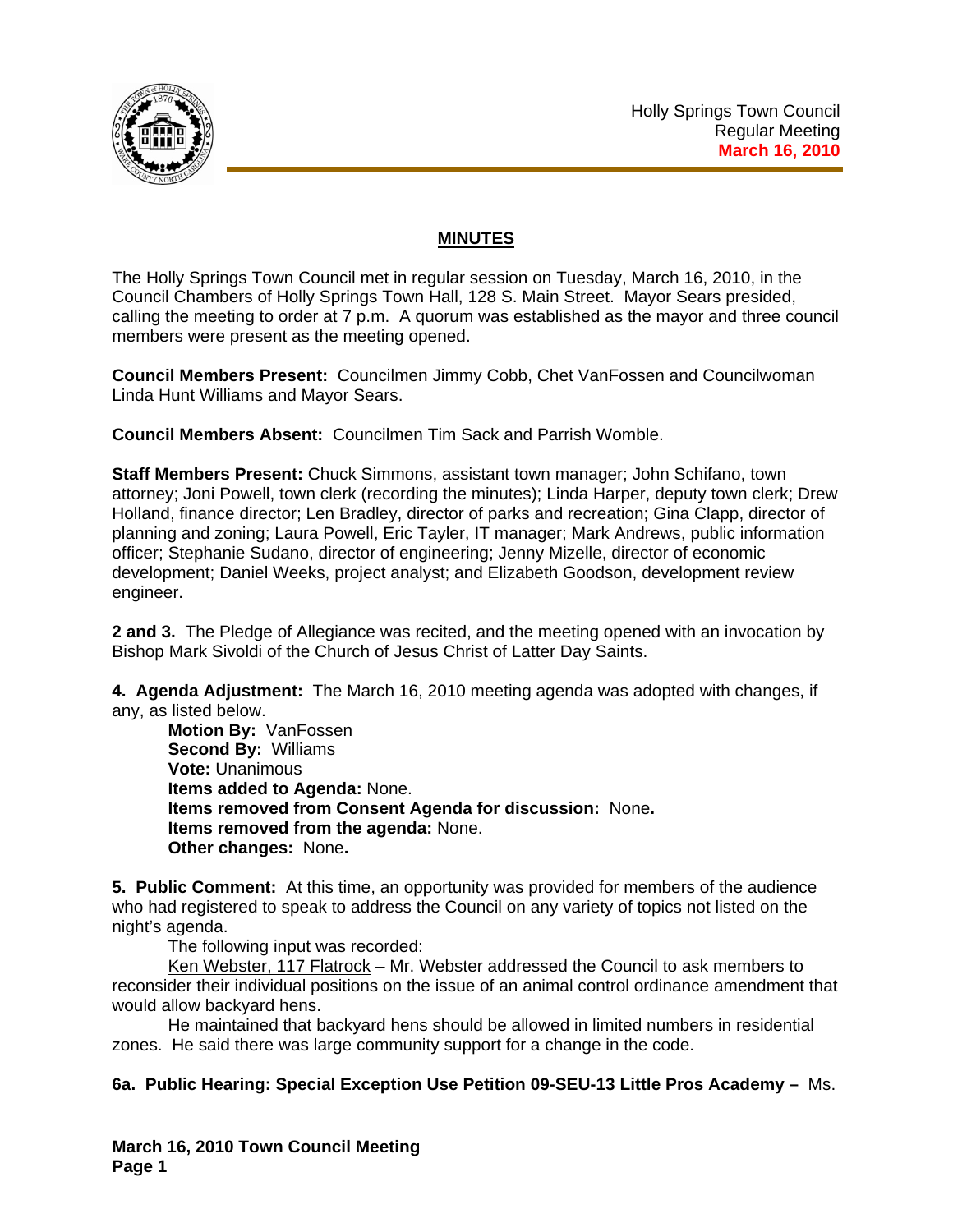

# **MINUTES**

The Holly Springs Town Council met in regular session on Tuesday, March 16, 2010, in the Council Chambers of Holly Springs Town Hall, 128 S. Main Street. Mayor Sears presided, calling the meeting to order at 7 p.m. A quorum was established as the mayor and three council members were present as the meeting opened.

**Council Members Present:** Councilmen Jimmy Cobb, Chet VanFossen and Councilwoman Linda Hunt Williams and Mayor Sears.

**Council Members Absent:** Councilmen Tim Sack and Parrish Womble.

**Staff Members Present:** Chuck Simmons, assistant town manager; John Schifano, town attorney; Joni Powell, town clerk (recording the minutes); Linda Harper, deputy town clerk; Drew Holland, finance director; Len Bradley, director of parks and recreation; Gina Clapp, director of planning and zoning; Laura Powell, Eric Tayler, IT manager; Mark Andrews, public information officer; Stephanie Sudano, director of engineering; Jenny Mizelle, director of economic development; Daniel Weeks, project analyst; and Elizabeth Goodson, development review engineer.

**2 and 3.** The Pledge of Allegiance was recited, and the meeting opened with an invocation by Bishop Mark Sivoldi of the Church of Jesus Christ of Latter Day Saints.

**4. Agenda Adjustment:** The March 16, 2010 meeting agenda was adopted with changes, if any, as listed below.

**Motion By:** VanFossen **Second By:** Williams **Vote:** Unanimous **Items added to Agenda:** None. **Items removed from Consent Agenda for discussion:** None**. Items removed from the agenda:** None. **Other changes:** None**.** 

**5. Public Comment:** At this time, an opportunity was provided for members of the audience who had registered to speak to address the Council on any variety of topics not listed on the night's agenda.

The following input was recorded:

Ken Webster, 117 Flatrock - Mr. Webster addressed the Council to ask members to reconsider their individual positions on the issue of an animal control ordinance amendment that would allow backyard hens.

 He maintained that backyard hens should be allowed in limited numbers in residential zones. He said there was large community support for a change in the code.

**6a. Public Hearing: Special Exception Use Petition 09-SEU-13 Little Pros Academy –** Ms.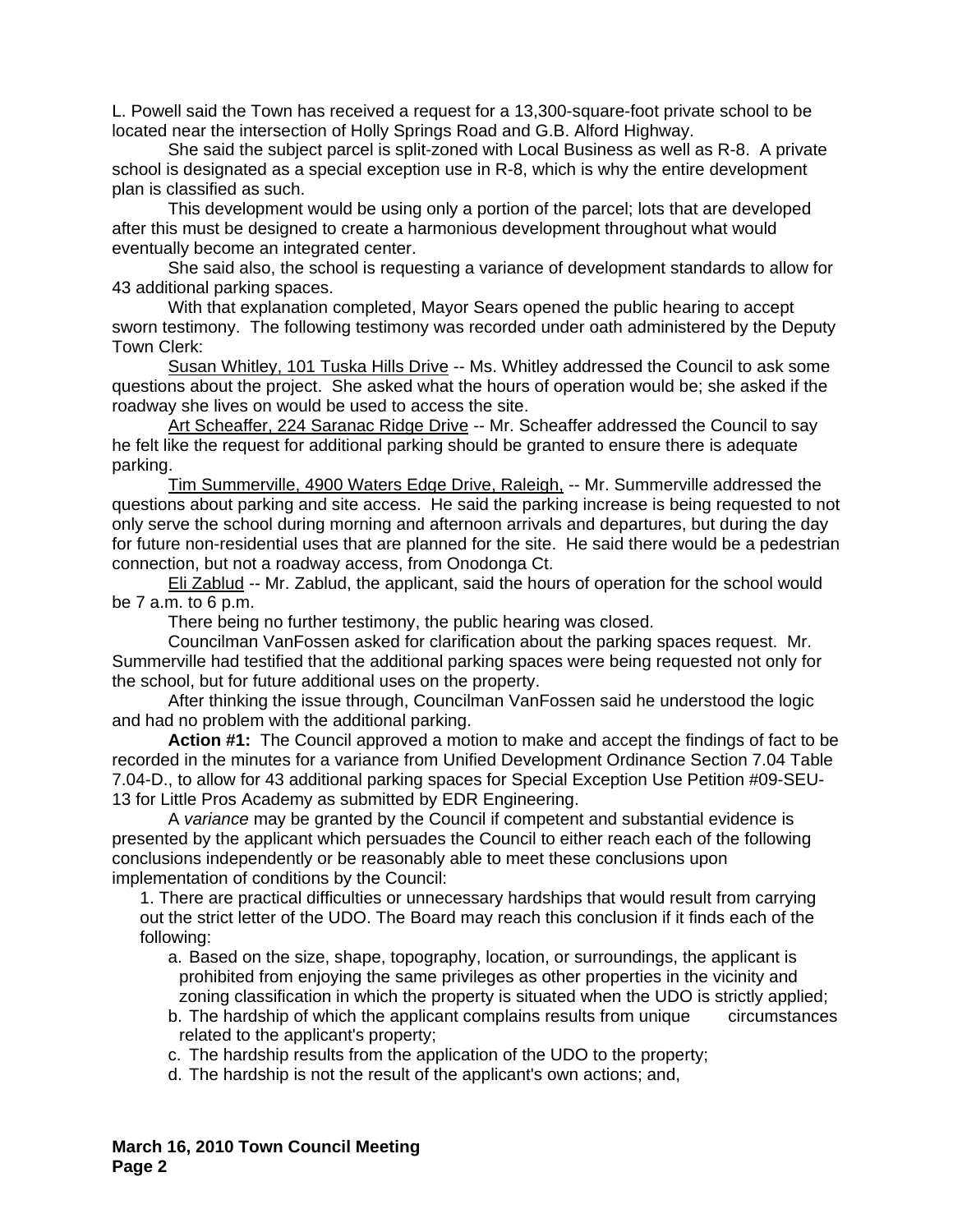L. Powell said the Town has received a request for a 13,300-square-foot private school to be located near the intersection of Holly Springs Road and G.B. Alford Highway.

 She said the subject parcel is split-zoned with Local Business as well as R-8. A private school is designated as a special exception use in R-8, which is why the entire development plan is classified as such.

 This development would be using only a portion of the parcel; lots that are developed after this must be designed to create a harmonious development throughout what would eventually become an integrated center.

 She said also, the school is requesting a variance of development standards to allow for 43 additional parking spaces.

 With that explanation completed, Mayor Sears opened the public hearing to accept sworn testimony. The following testimony was recorded under oath administered by the Deputy Town Clerk:

Susan Whitley, 101 Tuska Hills Drive -- Ms. Whitley addressed the Council to ask some questions about the project. She asked what the hours of operation would be; she asked if the roadway she lives on would be used to access the site.

 Art Scheaffer, 224 Saranac Ridge Drive -- Mr. Scheaffer addressed the Council to say he felt like the request for additional parking should be granted to ensure there is adequate parking.

 Tim Summerville, 4900 Waters Edge Drive, Raleigh, -- Mr. Summerville addressed the questions about parking and site access. He said the parking increase is being requested to not only serve the school during morning and afternoon arrivals and departures, but during the day for future non-residential uses that are planned for the site. He said there would be a pedestrian connection, but not a roadway access, from Onodonga Ct.

 Eli Zablud -- Mr. Zablud, the applicant, said the hours of operation for the school would be 7 a.m. to 6 p.m.

There being no further testimony, the public hearing was closed.

Councilman VanFossen asked for clarification about the parking spaces request. Mr. Summerville had testified that the additional parking spaces were being requested not only for the school, but for future additional uses on the property.

After thinking the issue through, Councilman VanFossen said he understood the logic and had no problem with the additional parking.

 **Action #1:** The Council approved a motion to make and accept the findings of fact to be recorded in the minutes for a variance from Unified Development Ordinance Section 7.04 Table 7.04-D., to allow for 43 additional parking spaces for Special Exception Use Petition #09-SEU-13 for Little Pros Academy as submitted by EDR Engineering.

A *variance* may be granted by the Council if competent and substantial evidence is presented by the applicant which persuades the Council to either reach each of the following conclusions independently or be reasonably able to meet these conclusions upon implementation of conditions by the Council:

1. There are practical difficulties or unnecessary hardships that would result from carrying out the strict letter of the UDO. The Board may reach this conclusion if it finds each of the following:

- a. Based on the size, shape, topography, location, or surroundings, the applicant is prohibited from enjoying the same privileges as other properties in the vicinity and zoning classification in which the property is situated when the UDO is strictly applied;
- b. The hardship of which the applicant complains results from unique circumstances related to the applicant's property;
- c. The hardship results from the application of the UDO to the property;
- d. The hardship is not the result of the applicant's own actions; and,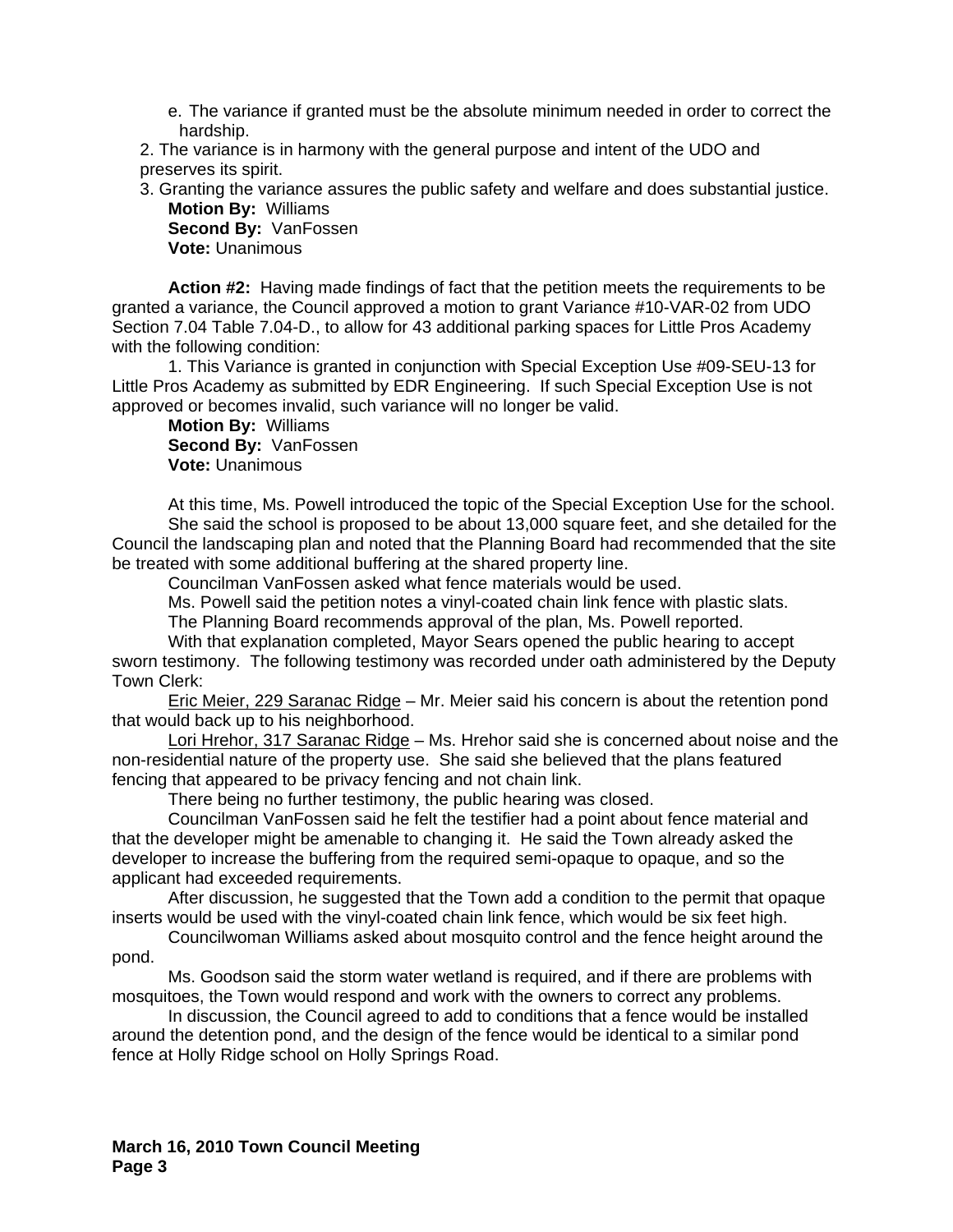e. The variance if granted must be the absolute minimum needed in order to correct the hardship.

2. The variance is in harmony with the general purpose and intent of the UDO and preserves its spirit.

3. Granting the variance assures the public safety and welfare and does substantial justice. **Motion By:** Williams

**Second By:** VanFossen **Vote:** Unanimous

 **Action #2:** Having made findings of fact that the petition meets the requirements to be granted a variance, the Council approved a motion to grant Variance #10-VAR-02 from UDO Section 7.04 Table 7.04-D., to allow for 43 additional parking spaces for Little Pros Academy with the following condition:

1. This Variance is granted in conjunction with Special Exception Use #09-SEU-13 for Little Pros Academy as submitted by EDR Engineering. If such Special Exception Use is not approved or becomes invalid, such variance will no longer be valid.

**Motion By:** Williams **Second By:** VanFossen **Vote:** Unanimous

At this time, Ms. Powell introduced the topic of the Special Exception Use for the school. She said the school is proposed to be about 13,000 square feet, and she detailed for the Council the landscaping plan and noted that the Planning Board had recommended that the site be treated with some additional buffering at the shared property line.

Councilman VanFossen asked what fence materials would be used.

Ms. Powell said the petition notes a vinyl-coated chain link fence with plastic slats.

The Planning Board recommends approval of the plan, Ms. Powell reported.

With that explanation completed, Mayor Sears opened the public hearing to accept sworn testimony. The following testimony was recorded under oath administered by the Deputy Town Clerk:

Eric Meier, 229 Saranac Ridge – Mr. Meier said his concern is about the retention pond that would back up to his neighborhood.

Lori Hrehor, 317 Saranac Ridge – Ms. Hrehor said she is concerned about noise and the non-residential nature of the property use. She said she believed that the plans featured fencing that appeared to be privacy fencing and not chain link.

There being no further testimony, the public hearing was closed.

Councilman VanFossen said he felt the testifier had a point about fence material and that the developer might be amenable to changing it. He said the Town already asked the developer to increase the buffering from the required semi-opaque to opaque, and so the applicant had exceeded requirements.

After discussion, he suggested that the Town add a condition to the permit that opaque inserts would be used with the vinyl-coated chain link fence, which would be six feet high.

Councilwoman Williams asked about mosquito control and the fence height around the pond.

Ms. Goodson said the storm water wetland is required, and if there are problems with mosquitoes, the Town would respond and work with the owners to correct any problems.

In discussion, the Council agreed to add to conditions that a fence would be installed around the detention pond, and the design of the fence would be identical to a similar pond fence at Holly Ridge school on Holly Springs Road.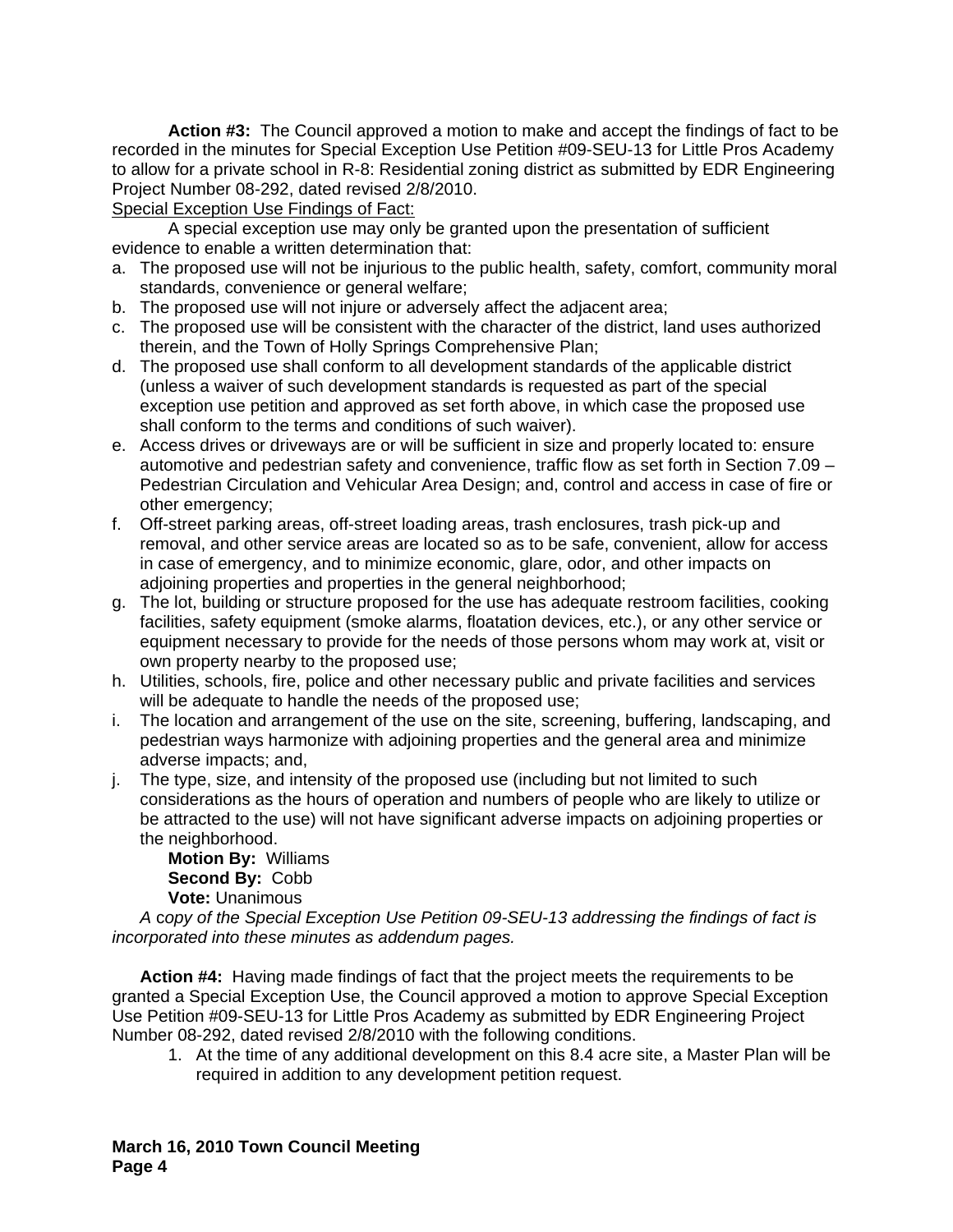**Action #3:** The Council approved a motion to make and accept the findings of fact to be recorded in the minutes for Special Exception Use Petition #09-SEU-13 for Little Pros Academy to allow for a private school in R-8: Residential zoning district as submitted by EDR Engineering Project Number 08-292, dated revised 2/8/2010.

#### Special Exception Use Findings of Fact:

 A special exception use may only be granted upon the presentation of sufficient evidence to enable a written determination that:

- a. The proposed use will not be injurious to the public health, safety, comfort, community moral standards, convenience or general welfare;
- b. The proposed use will not injure or adversely affect the adjacent area;
- c. The proposed use will be consistent with the character of the district, land uses authorized therein, and the Town of Holly Springs Comprehensive Plan;
- d. The proposed use shall conform to all development standards of the applicable district (unless a waiver of such development standards is requested as part of the special exception use petition and approved as set forth above, in which case the proposed use shall conform to the terms and conditions of such waiver).
- e. Access drives or driveways are or will be sufficient in size and properly located to: ensure automotive and pedestrian safety and convenience, traffic flow as set forth in Section 7.09 – Pedestrian Circulation and Vehicular Area Design; and, control and access in case of fire or other emergency;
- f. Off-street parking areas, off-street loading areas, trash enclosures, trash pick-up and removal, and other service areas are located so as to be safe, convenient, allow for access in case of emergency, and to minimize economic, glare, odor, and other impacts on adioining properties and properties in the general neighborhood;
- g. The lot, building or structure proposed for the use has adequate restroom facilities, cooking facilities, safety equipment (smoke alarms, floatation devices, etc.), or any other service or equipment necessary to provide for the needs of those persons whom may work at, visit or own property nearby to the proposed use;
- h. Utilities, schools, fire, police and other necessary public and private facilities and services will be adequate to handle the needs of the proposed use;
- i. The location and arrangement of the use on the site, screening, buffering, landscaping, and pedestrian ways harmonize with adjoining properties and the general area and minimize adverse impacts; and,
- j. The type, size, and intensity of the proposed use (including but not limited to such considerations as the hours of operation and numbers of people who are likely to utilize or be attracted to the use) will not have significant adverse impacts on adjoining properties or the neighborhood.

**Motion By:** Williams **Second By:** Cobb **Vote:** Unanimous

*A* c*opy of the Special Exception Use Petition 09-SEU-13 addressing the findings of fact is incorporated into these minutes as addendum pages.* 

**Action #4:** Having made findings of fact that the project meets the requirements to be granted a Special Exception Use, the Council approved a motion to approve Special Exception Use Petition #09-SEU-13 for Little Pros Academy as submitted by EDR Engineering Project Number 08-292, dated revised 2/8/2010 with the following conditions.

1. At the time of any additional development on this 8.4 acre site, a Master Plan will be required in addition to any development petition request.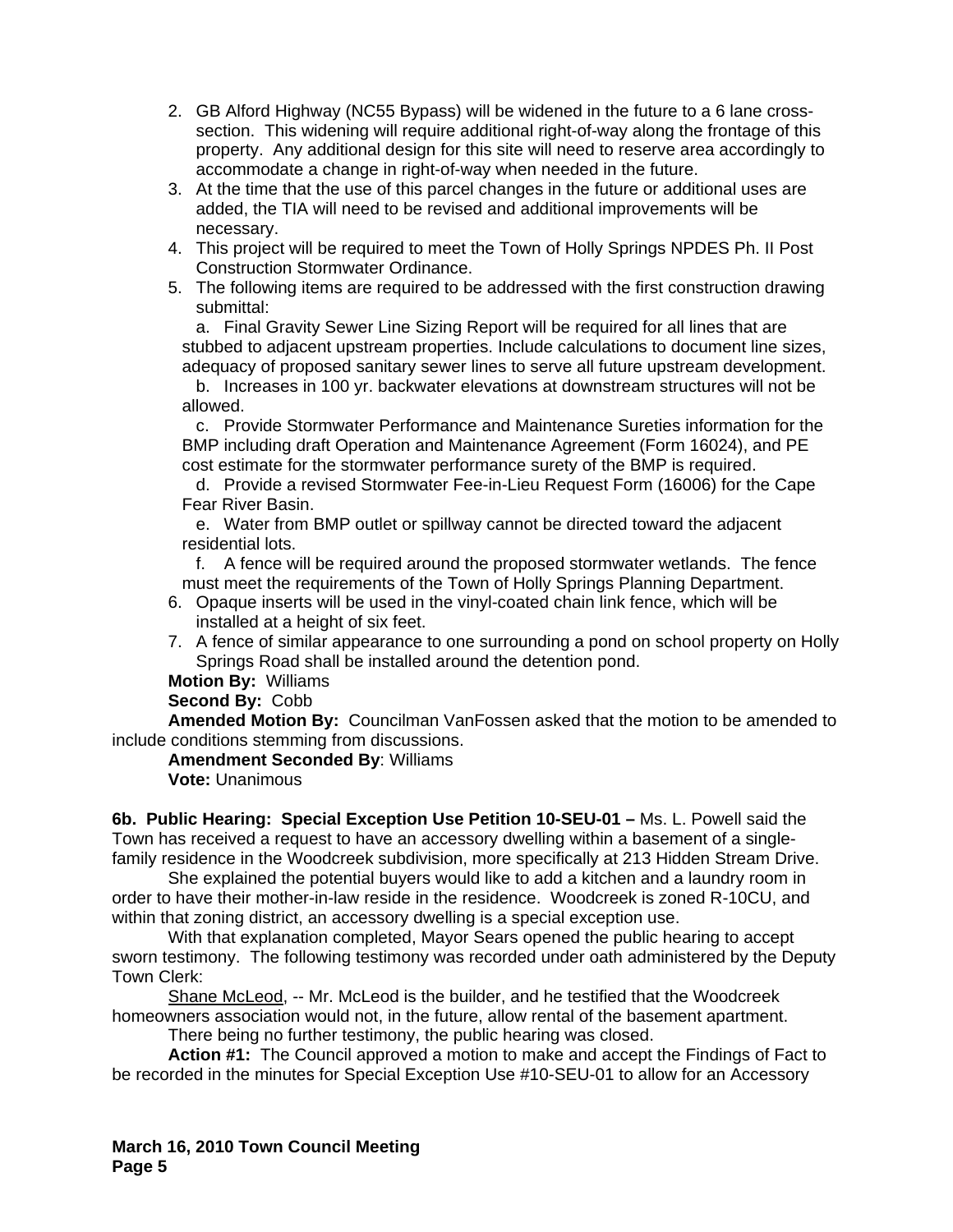- 2. GB Alford Highway (NC55 Bypass) will be widened in the future to a 6 lane crosssection. This widening will require additional right-of-way along the frontage of this property. Any additional design for this site will need to reserve area accordingly to accommodate a change in right-of-way when needed in the future.
- 3. At the time that the use of this parcel changes in the future or additional uses are added, the TIA will need to be revised and additional improvements will be necessary.
- 4. This project will be required to meet the Town of Holly Springs NPDES Ph. II Post Construction Stormwater Ordinance.
- 5. The following items are required to be addressed with the first construction drawing submittal:

a. Final Gravity Sewer Line Sizing Report will be required for all lines that are stubbed to adjacent upstream properties. Include calculations to document line sizes, adequacy of proposed sanitary sewer lines to serve all future upstream development.

b. Increases in 100 yr. backwater elevations at downstream structures will not be allowed.

c. Provide Stormwater Performance and Maintenance Sureties information for the BMP including draft Operation and Maintenance Agreement (Form 16024), and PE cost estimate for the stormwater performance surety of the BMP is required.

d. Provide a revised Stormwater Fee-in-Lieu Request Form (16006) for the Cape Fear River Basin.

e. Water from BMP outlet or spillway cannot be directed toward the adjacent residential lots.

f. A fence will be required around the proposed stormwater wetlands. The fence must meet the requirements of the Town of Holly Springs Planning Department.

- 6. Opaque inserts will be used in the vinyl-coated chain link fence, which will be installed at a height of six feet.
- 7. A fence of similar appearance to one surrounding a pond on school property on Holly Springs Road shall be installed around the detention pond.

## **Motion By:** Williams

## **Second By:** Cobb

**Amended Motion By:** Councilman VanFossen asked that the motion to be amended to include conditions stemming from discussions.

#### **Amendment Seconded By**: Williams

**Vote:** Unanimous

**6b. Public Hearing: Special Exception Use Petition 10-SEU-01 –** Ms. L. Powell said the Town has received a request to have an accessory dwelling within a basement of a singlefamily residence in the Woodcreek subdivision, more specifically at 213 Hidden Stream Drive.

 She explained the potential buyers would like to add a kitchen and a laundry room in order to have their mother-in-law reside in the residence. Woodcreek is zoned R-10CU, and within that zoning district, an accessory dwelling is a special exception use.

With that explanation completed, Mayor Sears opened the public hearing to accept sworn testimony. The following testimony was recorded under oath administered by the Deputy Town Clerk:

Shane McLeod, -- Mr. McLeod is the builder, and he testified that the Woodcreek homeowners association would not, in the future, allow rental of the basement apartment.

There being no further testimony, the public hearing was closed.

**Action #1:** The Council approved a motion to make and accept the Findings of Fact to be recorded in the minutes for Special Exception Use #10-SEU-01 to allow for an Accessory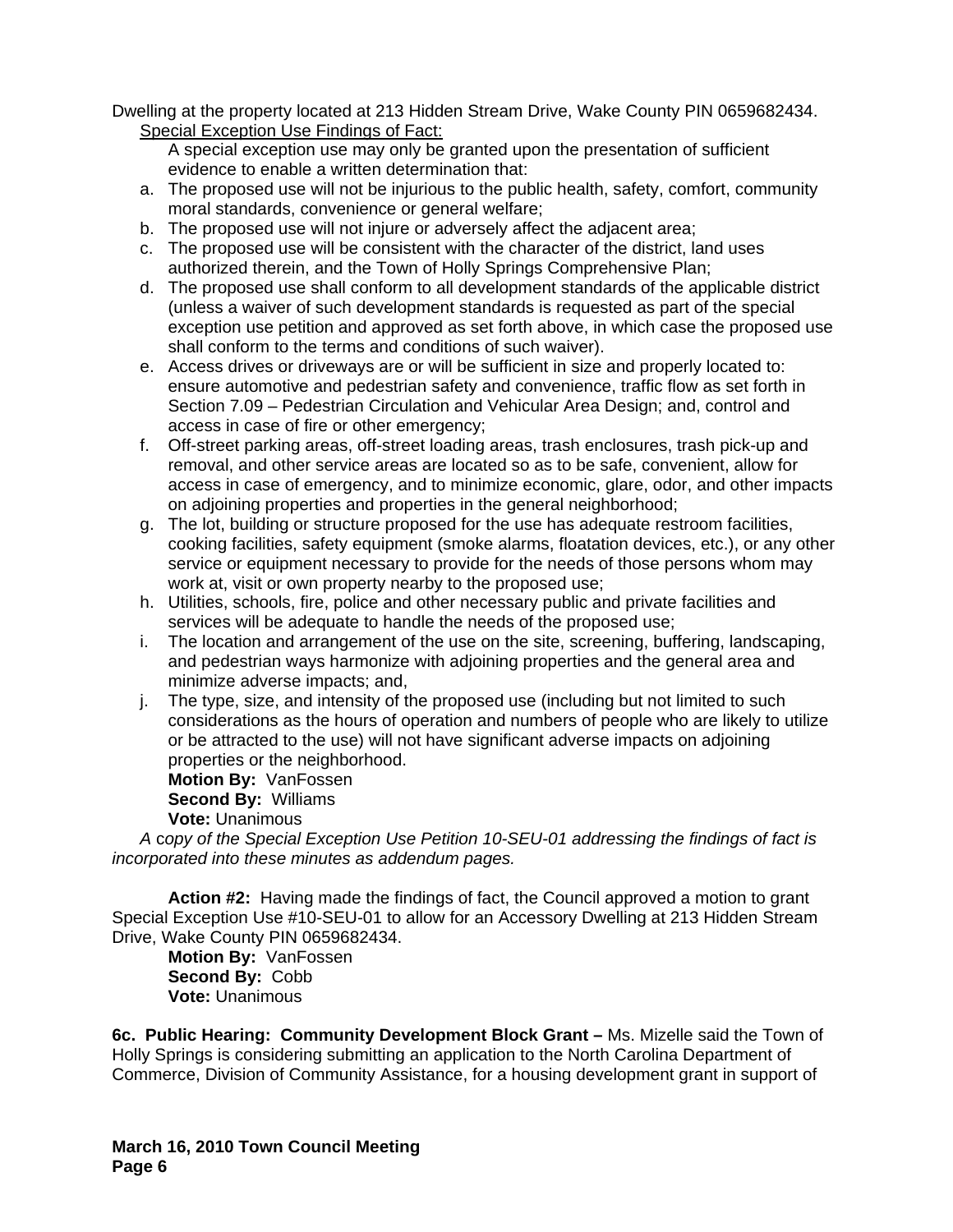Dwelling at the property located at 213 Hidden Stream Drive, Wake County PIN 0659682434. Special Exception Use Findings of Fact:

A special exception use may only be granted upon the presentation of sufficient evidence to enable a written determination that:

- a. The proposed use will not be injurious to the public health, safety, comfort, community moral standards, convenience or general welfare;
- b. The proposed use will not injure or adversely affect the adjacent area;
- c. The proposed use will be consistent with the character of the district, land uses authorized therein, and the Town of Holly Springs Comprehensive Plan;
- d. The proposed use shall conform to all development standards of the applicable district (unless a waiver of such development standards is requested as part of the special exception use petition and approved as set forth above, in which case the proposed use shall conform to the terms and conditions of such waiver).
- e. Access drives or driveways are or will be sufficient in size and properly located to: ensure automotive and pedestrian safety and convenience, traffic flow as set forth in Section 7.09 – Pedestrian Circulation and Vehicular Area Design; and, control and access in case of fire or other emergency;
- f. Off-street parking areas, off-street loading areas, trash enclosures, trash pick-up and removal, and other service areas are located so as to be safe, convenient, allow for access in case of emergency, and to minimize economic, glare, odor, and other impacts on adjoining properties and properties in the general neighborhood;
- g. The lot, building or structure proposed for the use has adequate restroom facilities, cooking facilities, safety equipment (smoke alarms, floatation devices, etc.), or any other service or equipment necessary to provide for the needs of those persons whom may work at, visit or own property nearby to the proposed use;
- h. Utilities, schools, fire, police and other necessary public and private facilities and services will be adequate to handle the needs of the proposed use;
- i. The location and arrangement of the use on the site, screening, buffering, landscaping, and pedestrian ways harmonize with adjoining properties and the general area and minimize adverse impacts; and,
- j. The type, size, and intensity of the proposed use (including but not limited to such considerations as the hours of operation and numbers of people who are likely to utilize or be attracted to the use) will not have significant adverse impacts on adjoining properties or the neighborhood.

**Motion By:** VanFossen **Second By:** Williams **Vote:** Unanimous

*A* c*opy of the Special Exception Use Petition 10-SEU-01 addressing the findings of fact is incorporated into these minutes as addendum pages.* 

**Action #2:** Having made the findings of fact, the Council approved a motion to grant Special Exception Use #10-SEU-01 to allow for an Accessory Dwelling at 213 Hidden Stream Drive, Wake County PIN 0659682434.

**Motion By:** VanFossen **Second By:** Cobb **Vote:** Unanimous

**6c. Public Hearing: Community Development Block Grant –** Ms. Mizelle said the Town of Holly Springs is considering submitting an application to the North Carolina Department of Commerce, Division of Community Assistance, for a housing development grant in support of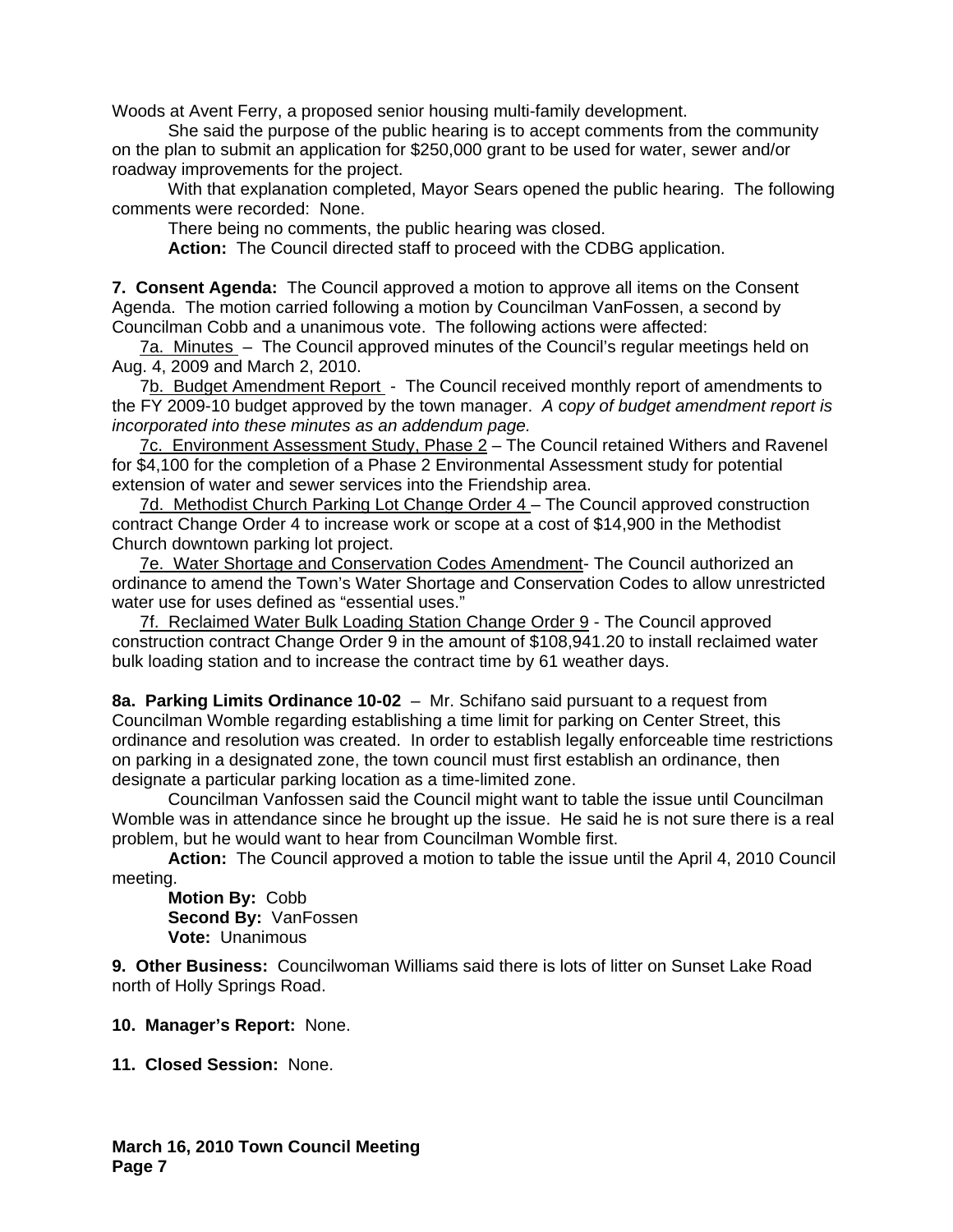Woods at Avent Ferry, a proposed senior housing multi-family development.

 She said the purpose of the public hearing is to accept comments from the community on the plan to submit an application for \$250,000 grant to be used for water, sewer and/or roadway improvements for the project.

 With that explanation completed, Mayor Sears opened the public hearing. The following comments were recorded: None.

There being no comments, the public hearing was closed.

 **Action:** The Council directed staff to proceed with the CDBG application.

**7. Consent Agenda:** The Council approved a motion to approve all items on the Consent Agenda. The motion carried following a motion by Councilman VanFossen, a second by Councilman Cobb and a unanimous vote. The following actions were affected:

7a. Minutes – The Council approved minutes of the Council's regular meetings held on Aug. 4, 2009 and March 2, 2010.

7b. Budget Amendment Report - The Council received monthly report of amendments to the FY 2009-10 budget approved by the town manager. *A* c*opy of budget amendment report is incorporated into these minutes as an addendum page.*

7c. Environment Assessment Study, Phase 2 – The Council retained Withers and Ravenel for \$4,100 for the completion of a Phase 2 Environmental Assessment study for potential extension of water and sewer services into the Friendship area.

7d. Methodist Church Parking Lot Change Order 4 – The Council approved construction contract Change Order 4 to increase work or scope at a cost of \$14,900 in the Methodist Church downtown parking lot project.

7e. Water Shortage and Conservation Codes Amendment- The Council authorized an ordinance to amend the Town's Water Shortage and Conservation Codes to allow unrestricted water use for uses defined as "essential uses."

7f. Reclaimed Water Bulk Loading Station Change Order 9 - The Council approved construction contract Change Order 9 in the amount of \$108,941.20 to install reclaimed water bulk loading station and to increase the contract time by 61 weather days.

**8a. Parking Limits Ordinance 10-02** – Mr. Schifano said pursuant to a request from Councilman Womble regarding establishing a time limit for parking on Center Street, this ordinance and resolution was created. In order to establish legally enforceable time restrictions on parking in a designated zone, the town council must first establish an ordinance, then designate a particular parking location as a time-limited zone.

Councilman Vanfossen said the Council might want to table the issue until Councilman Womble was in attendance since he brought up the issue. He said he is not sure there is a real problem, but he would want to hear from Councilman Womble first.

**Action:** The Council approved a motion to table the issue until the April 4, 2010 Council meeting.

**Motion By:** Cobb **Second By:** VanFossen **Vote:** Unanimous

**9. Other Business:** Councilwoman Williams said there is lots of litter on Sunset Lake Road north of Holly Springs Road.

**10. Manager's Report:** None.

**11. Closed Session:** None.